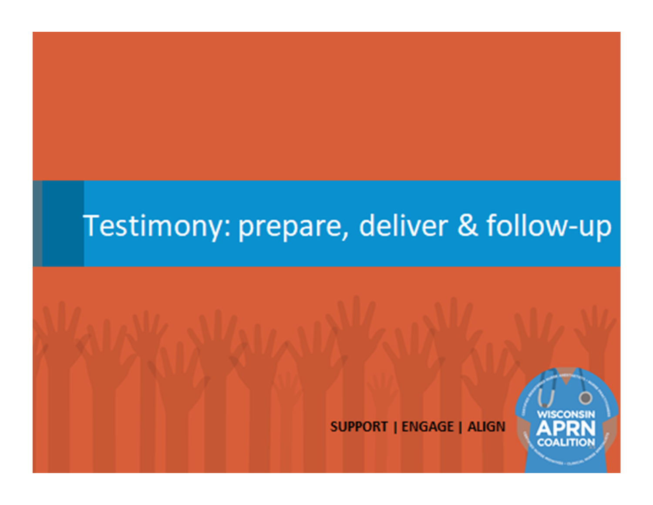### Testimony: prepare, deliver & follow-up

**SUPPORT | ENGAGE | ALIGN** 

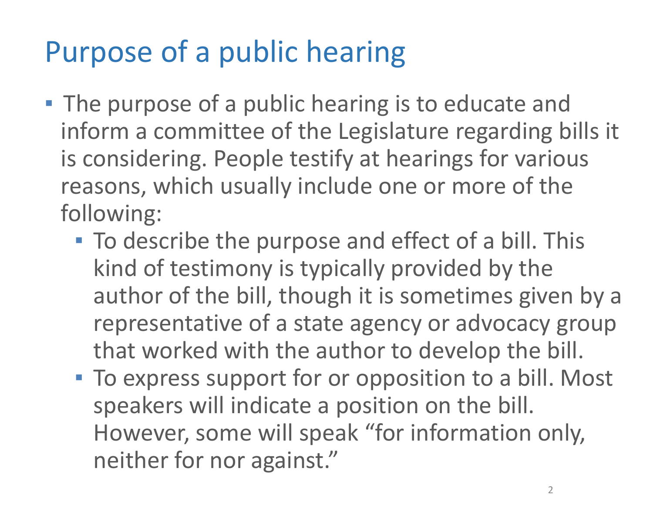# Purpose of a public hearing

- **The purpose of a public hearing is to educate and** inform a committee of the Legislature regarding bills it is considering. People testify at hearings for various reasons, which usually include one or more of the following:
	- To describe the purpose and effect of a bill. This kind of testimony is typically provided by the author of the bill, though it is sometimes given by a representative of a state agency or advocacy group that worked with the author to develop the bill.
	- **To express support for or opposition to a bill. Most** speakers will indicate a position on the bill. However, some will speak "for information only, neither for nor against."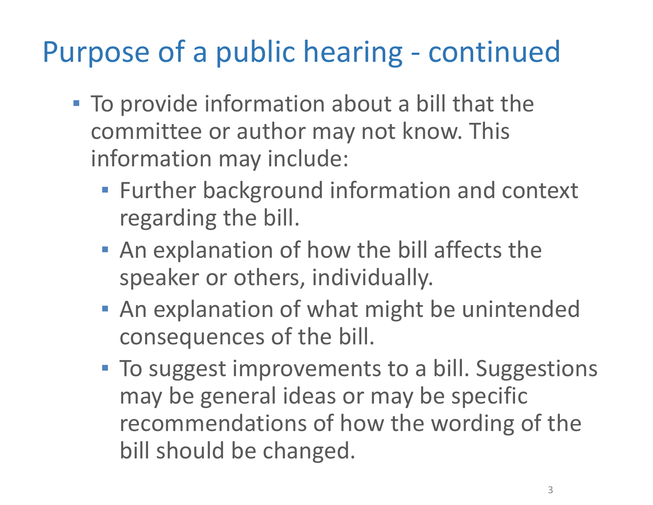## Purpose of a public hearing ‐ continued

- To provide information about a bill that the committee or author may not know. This information may include:
	- **EXET Further background information and context** regarding the bill.
	- **An explanation of how the bill affects the** speaker or others, individually.
	- **An explanation of what might be unintended** consequences of the bill.
	- **To suggest improvements to a bill. Suggestions** may be general ideas or may be specific recommendations of how the wording of the bill should be changed.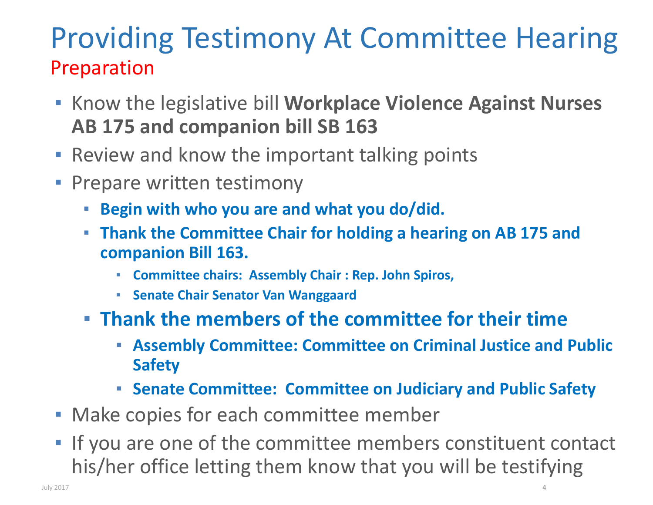### Providing Testimony At Committee Hearing Preparation

- $\mathbb{R}^n$  Know the legislative bill **Workplace Violence Against Nurses AB 175 and companion bill SB 163**
- ▪Review and know the important talking points
- **Prepare written testimony** 
	- **Begin with who you are and what you do/did.**
	- **Thank the Committee Chair for holding a hearing on AB 175 and companion Bill 163.**
		- **Committee chairs: Assembly Chair : Rep. John Spiros,**
		- **Senate Chair Senator Van Wanggaard**
	- **Thank the members of the committee for their time**
		- **Assembly Committee: Committee on Criminal Justice and Public Safety**
		- **Senate Committee: Committee on Judiciary and Public Safety**
- **Make copies for each committee member**
- $\overline{\phantom{a}}$  If you are one of the committee members constituent contact his/her office letting them know that you will be testifying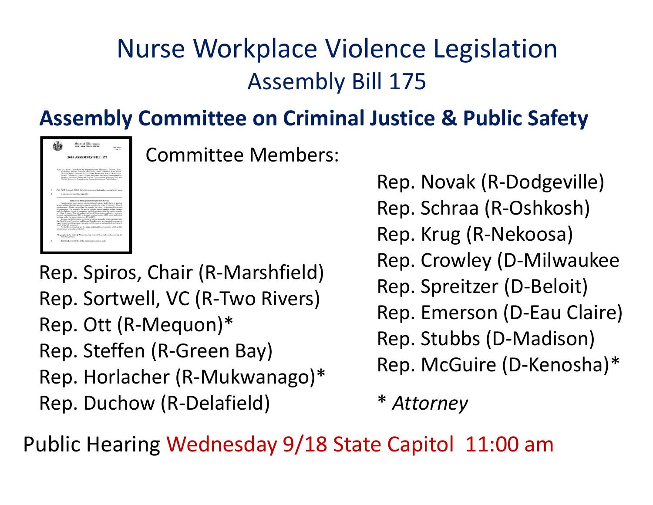### Nurse Workplace Violence Legislation Assembly Bill 175

#### **Assembly Committee on Criminal Justice & Public Safety**



Committee Members:

Rep. Spiros, Chair (R‐Marshfield) Rep. Sortwell, VC (R‐Two Rivers) Rep. Ott (R‐Mequon)\* Rep. Steffen (R‐Green Bay) Rep. Horlacher (R‐Mukwanago)\* Rep. Duchow (R‐Delafield)

Rep. Novak (R‐Dodgeville) Rep. Schraa (R‐Oshkosh) Rep. Krug (R‐Nekoosa) Rep. Crowley (D‐Milwaukee Rep. Spreitzer (D‐Beloit) Rep. Emerson (D‐Eau Claire) Rep. Stubbs (D‐Madison) Rep. McGuire (D‐Kenosha)\*

Attorney

Public Hearing Wednesday 9/18 State Capitol 11:00 am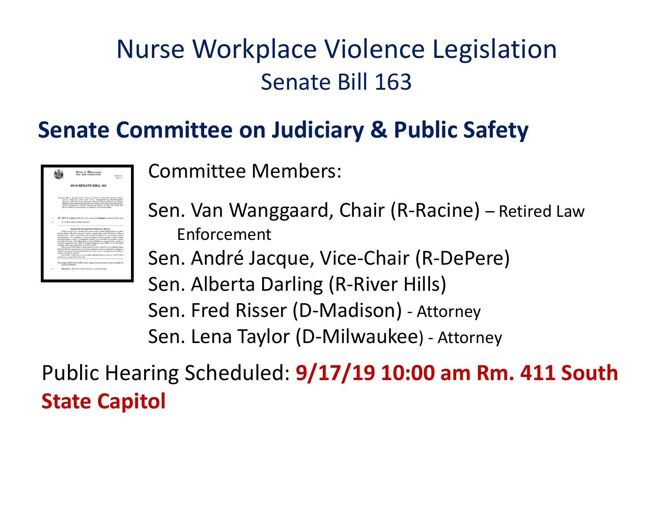### Nurse Workplace Violence Legislation Senate Bill 163

#### **Senate Committee on Judiciary & Public Safety**

|    | State of Wisconsin<br>DATE - BOOR EXCITED ATTENT<br>138-1000<br>EARsen                                                                                                                                                                                                                                                                                                                                                                                                                                                                                                                                                                                                                                                                                                                                     |
|----|------------------------------------------------------------------------------------------------------------------------------------------------------------------------------------------------------------------------------------------------------------------------------------------------------------------------------------------------------------------------------------------------------------------------------------------------------------------------------------------------------------------------------------------------------------------------------------------------------------------------------------------------------------------------------------------------------------------------------------------------------------------------------------------------------------|
|    | <b>2019 SENATE BILL 163</b>                                                                                                                                                                                                                                                                                                                                                                                                                                                                                                                                                                                                                                                                                                                                                                                |
|    | April 11, 2019 - Introduced by Sonators KOOTESSA, CARTESTER, COVLES, FIFTIX.<br>JACQUE, MARILEIN, NASE and TESTIN, cooperated by Representatives.<br>MADAGATE DOCUME TWO. KING FOR TWO REPORTS TO THE STATE AND A LARGE<br>KIROLOS, KULP, KURTE, MUSIPHY, NOVAL, ORSHUE, OTT, PETERSEN, ROEDGATE,<br>SINGLE SERVICEOUS, SPRIN, THROPPLIPE TRANSL, TURAN, WICHIRDS and<br>QUIVE Referred to Committee on Judiciary and Public Safety.                                                                                                                                                                                                                                                                                                                                                                       |
| t. | AN ACT to create 940.20 (2r) of the statutos; relating to: cuasing boddy have.                                                                                                                                                                                                                                                                                                                                                                                                                                                                                                                                                                                                                                                                                                                             |
| z  | to a nurse and previding a penalty.                                                                                                                                                                                                                                                                                                                                                                                                                                                                                                                                                                                                                                                                                                                                                                        |
|    | Analysis by the Legislative Reference Bareau<br>Under current law, a person who intentionally causes boddy harm to another<br>person without the other person's consent consults the crime of battery, a Class A.<br>relademeaner. Under current law, the preside for hattery is increased in certain.<br>circumstances. For example, if a person commite buttery against certain victims.<br>such fire fighters, incurs, or concentrate medical care providers, the person is stally.<br>of a Class H felony. This bill makes it a Class H felony to commit battery against a<br>licensed registered nurse (RN), a licensed practical nurse (LPN), or an individual<br>working under the supervision of an EN or LPN.<br>Because this bill creates a new crime or review a penalty for an existing crime, |
|    | the Joint Review Committee on Criminal Penalties may be reconsted to propage a<br>report concerning the restroyed penalty and the costs or saxings that are likely to<br>reach if the hill is exacted.<br>For further information are the abobr and local fixed estimate, which will be<br>printed as an appendix to this bill.                                                                                                                                                                                                                                                                                                                                                                                                                                                                            |

Committee Members:

Sen. Van Wanggaard, Chair (R‐Racine) – Retired Law Enforcement

Sen. André Jacque, Vice‐Chair (R‐DePere)

Sen. Alberta Darling (R‐River Hills) Sen. Fred Risser (D‐Madison) ‐ Attorney Sen. Lena Taylor (D‐Milwaukee) ‐ Attorney

Public Hearing Scheduled: **9/17/19 10:00 am Rm. 411 South State Capitol**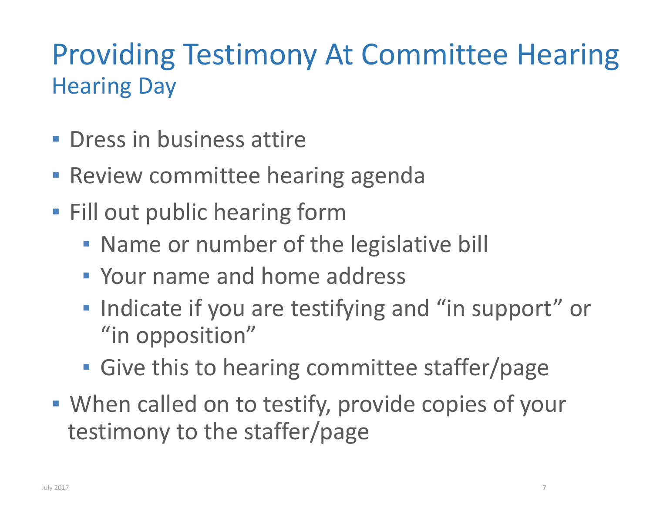## Providing Testimony At Committee Hearing Hearing Day

- **Dress in business attire**
- **Review committee hearing agenda**
- **· Fill out public hearing form** 
	- **Name or number of the legislative bill**
	- Your name and home address
	- **.** Indicate if you are testifying and "in support" or "in opposition"
	- **Give this to hearing committee staffer/page**
- **When called on to testify, provide copies of your** testimony to the staffer/page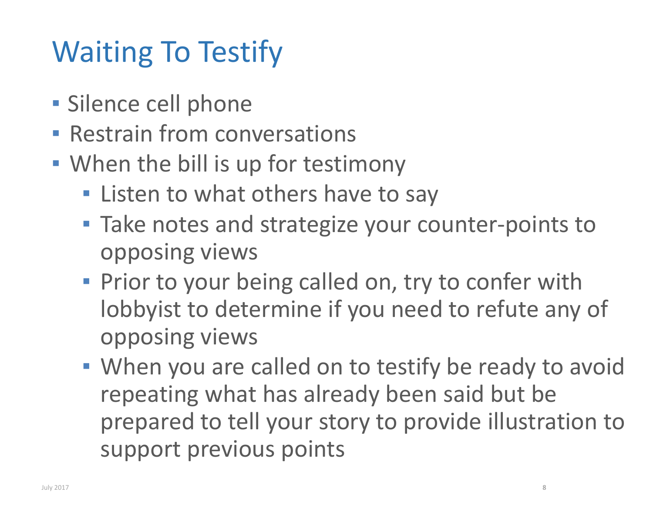# Waiting To Testify

- **E** Silence cell phone
- **EXECT: Restrain from conversations**
- **.** When the bill is up for testimony
	- **.** Listen to what others have to say
	- Take notes and strategize your counter-points to opposing views
	- **Prior to your being called on, try to confer with** lobbyist to determine if you need to refute any of opposing views
	- **When you are called on to testify be ready to avoid** repeating what has already been said but be prepared to tell your story to provide illustration to support previous points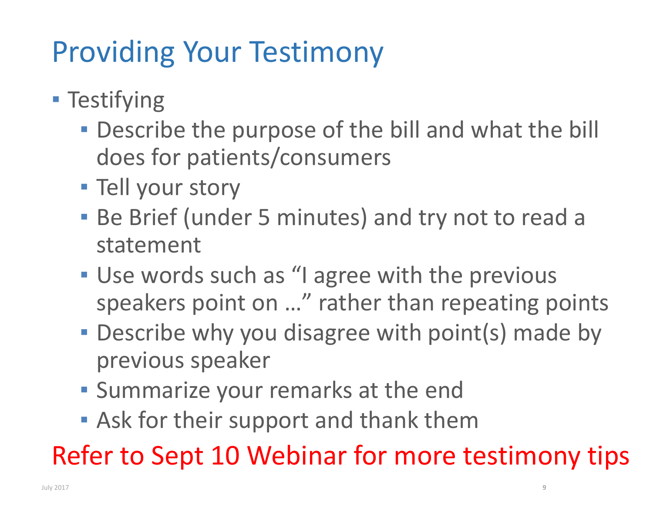# Providing Your Testimony

- **Testifying** 
	- **Describe the purpose of the bill and what the bill** does for patients/consumers
	- **Tell your story**
	- **Be Brief (under 5 minutes) and try not to read a** statement
	- **Use words such as "I agree with the previous** speakers point on …" rather than repeating points
	- **Describe why you disagree with point(s) made by** previous speaker
	- **· Summarize your remarks at the end**
	- **Ask for their support and thank them**

Refer to Sept 10 Webinar for more testimony tips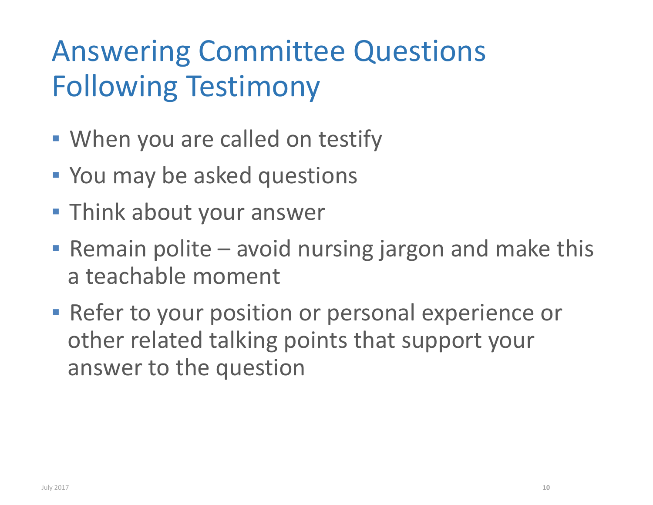## Answering Committee Questions Following Testimony

- **.** When you are called on testify
- **You may be asked questions**
- **Think about your answer**
- **Remain polite avoid nursing jargon and make this** a teachable moment
- **EXPLEX Proget Prosition or personal experience or** other related talking points that support your answer to the question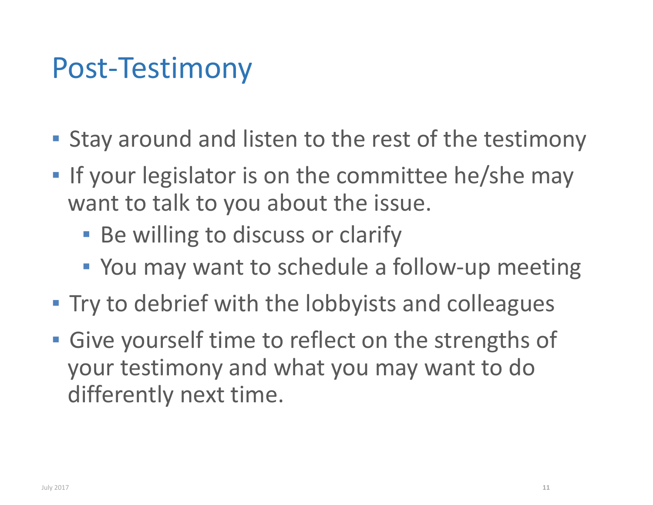## Post‐Testimony

- **Example 2 Stay around and listen to the rest of the testimony**
- ▪**If your legislator is on the committee he/she may** want to talk to you about the issue.
	- **Be willing to discuss or clarify**
	- You may want to schedule a follow-up meeting
- **Try to debrief with the lobbyists and colleagues**
- **· Give yourself time to reflect on the strengths of** your testimony and what you may want to do differently next time.